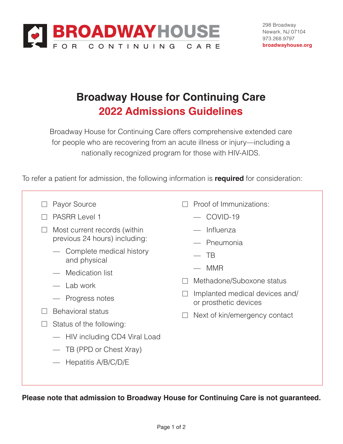

## **Broadway House for Continuing Care 2022 Admissions Guidelines**

Broadway House for Continuing Care offers comprehensive extended care for people who are recovering from an acute illness or injury—including a nationally recognized program for those with HIV-AIDS.

To refer a patient for admission, the following information is **required** for consideration:

- □ Payor Source
- □ PASRR Level 1
- $\Box$  Most current records (within previous 24 hours) including:
	- Complete medical history and physical
	- Medication list
	- Lab work
	- Progress notes
- $\Box$  Behavioral status
- $\Box$  Status of the following:
	- HIV including CD4 Viral Load
	- TB (PPD or Chest Xray)
	- Hepatitis A/B/C/D/E
- $\Box$  Proof of Immunizations:
	- COVID-19
	- Influenza
	- Pneumonia
	- $-$  TB
	- MMR
- □ Methadone/Suboxone status
- $\Box$  Implanted medical devices and/ or prosthetic devices
- $\Box$  Next of kin/emergency contact

**Please note that admission to Broadway House for Continuing Care is not guaranteed.**